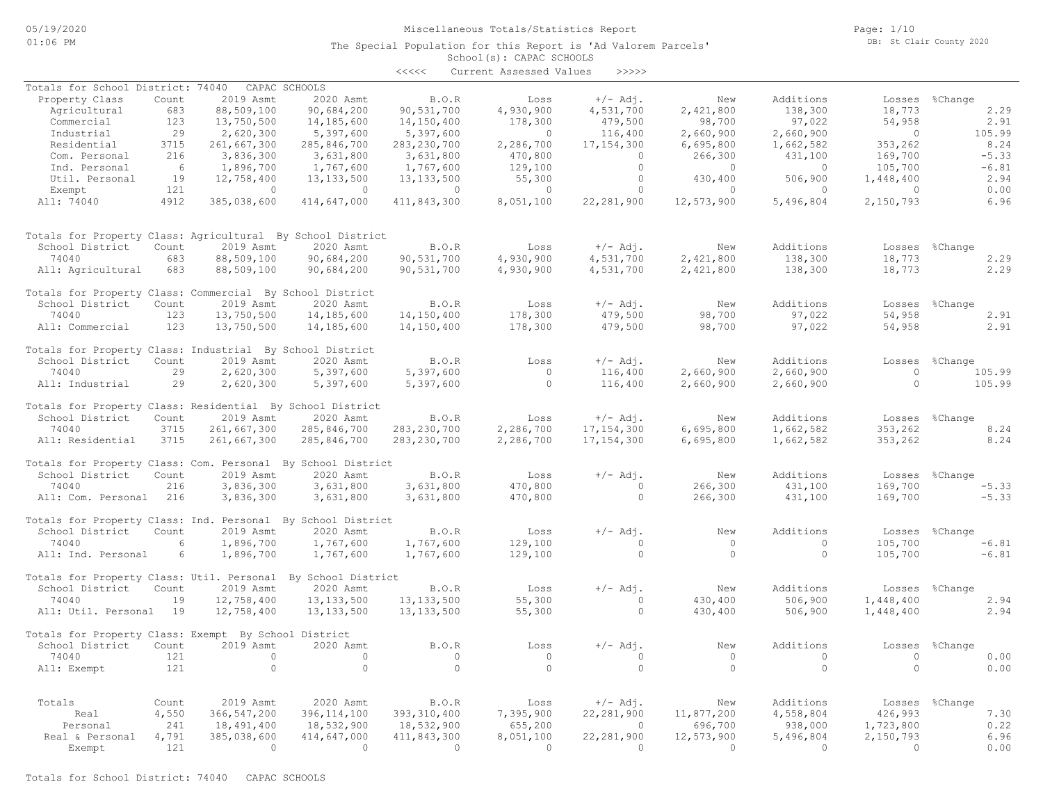### Miscellaneous Totals/Statistics Report

The Special Population for this Report is 'Ad Valorem Parcels'

Page: 1/10 DB: St Clair County 2020

### School(s): CAPAC SCHOOLS <<<<< Current Assessed Values >>>>>

| Totals for School District: 74040                            |       |               | CAPAC SCHOOLS  |               |                |              |                |           |            |                |
|--------------------------------------------------------------|-------|---------------|----------------|---------------|----------------|--------------|----------------|-----------|------------|----------------|
| Property Class                                               | Count | 2019 Asmt     | 2020 Asmt      | B.O.R         | Loss           | $+/-$ Adj.   | New            | Additions |            | Losses %Change |
| Agricultural                                                 | 683   | 88,509,100    | 90,684,200     | 90,531,700    | 4,930,900      | 4,531,700    | 2,421,800      | 138,300   | 18,773     | 2.29           |
| Commercial                                                   | 123   | 13,750,500    | 14,185,600     | 14,150,400    | 178,300        | 479,500      | 98,700         | 97,022    | 54,958     | 2.91           |
| Industrial                                                   | 29    | 2,620,300     | 5,397,600      | 5,397,600     | $\bigcirc$     | 116,400      | 2,660,900      | 2,660,900 | $\bigcirc$ | 105.99         |
| Residential                                                  | 3715  | 261,667,300   | 285,846,700    | 283, 230, 700 | 2,286,700      | 17, 154, 300 | 6,695,800      | 1,662,582 | 353,262    | 8.24           |
| Com. Personal                                                | 216   | 3,836,300     | 3,631,800      | 3,631,800     | 470,800        | $\Omega$     | 266,300        | 431,100   | 169,700    | $-5.33$        |
| Ind. Personal                                                | 6     | 1,896,700     | 1,767,600      | 1,767,600     | 129,100        | $\circ$      | $\overline{0}$ | $\circ$   | 105,700    | $-6.81$        |
| Util. Personal                                               | 19    | 12,758,400    | 13, 133, 500   | 13, 133, 500  | 55,300         | $\circ$      | 430,400        | 506,900   | 1,448,400  | 2.94           |
| Exempt                                                       | 121   | $\circ$       | $\overline{0}$ | $\circ$       | $\circ$        | $\circ$      | $\circ$        | $\circ$   | $\circ$    | 0.00           |
| All: 74040                                                   | 4912  | 385,038,600   | 414,647,000    | 411,843,300   | 8,051,100      | 22, 281, 900 | 12,573,900     | 5,496,804 | 2,150,793  | 6.96           |
| Totals for Property Class: Agricultural By School District   |       |               |                |               |                |              |                |           |            |                |
| School District                                              | Count | 2019 Asmt     | 2020 Asmt      | B.O.R         | Loss           | $+/-$ Adj.   | New            | Additions |            | Losses %Change |
| 74040                                                        | 683   | 88,509,100    | 90,684,200     | 90,531,700    | 4,930,900      | 4,531,700    | 2,421,800      | 138,300   | 18,773     | 2.29           |
| All: Agricultural                                            | 683   | 88,509,100    | 90,684,200     | 90,531,700    | 4,930,900      | 4,531,700    | 2,421,800      | 138,300   | 18,773     | 2.29           |
| Totals for Property Class: Commercial By School District     |       |               |                |               |                |              |                |           |            |                |
| School District                                              | Count | 2019 Asmt     | 2020 Asmt      | B.O.R         | Loss           | $+/-$ Adj.   | New            | Additions |            | Losses %Change |
| 74040                                                        | 123   | 13,750,500    | 14,185,600     | 14,150,400    | 178,300        | 479,500      | 98,700         | 97,022    | 54,958     | 2.91           |
| All: Commercial                                              | 123   | 13,750,500    | 14,185,600     | 14,150,400    | 178,300        | 479,500      | 98,700         | 97,022    | 54,958     | 2.91           |
| Totals for Property Class: Industrial By School District     |       |               |                |               |                |              |                |           |            |                |
| School District                                              | Count | 2019 Asmt     | 2020 Asmt      | B.O.R         | Loss           | $+/-$ Adj.   | New            | Additions | Losses     | %Change        |
| 74040                                                        | 29    | 2,620,300     | 5,397,600      | 5,397,600     | $\overline{0}$ | 116,400      | 2,660,900      | 2,660,900 | $\circ$    | 105.99         |
| All: Industrial                                              | 29    | 2,620,300     | 5,397,600      | 5,397,600     | $\circ$        | 116,400      | 2,660,900      | 2,660,900 | $\circ$    | 105.99         |
| Totals for Property Class: Residential By School District    |       |               |                |               |                |              |                |           |            |                |
| School District                                              | Count | 2019 Asmt     | 2020 Asmt      | B.O.R         | Loss           | $+/-$ Adj.   | New            | Additions | Losses     | %Change        |
| 74040                                                        | 3715  | 261,667,300   | 285,846,700    | 283, 230, 700 | 2,286,700      | 17,154,300   | 6,695,800      | 1,662,582 | 353,262    | 8.24           |
| All: Residential                                             | 3715  | 261,667,300   | 285,846,700    | 283, 230, 700 | 2,286,700      | 17, 154, 300 | 6,695,800      | 1,662,582 | 353,262    | 8.24           |
| Totals for Property Class: Com. Personal By School District  |       |               |                |               |                |              |                |           |            |                |
| School District                                              | Count | 2019 Asmt     | 2020 Asmt      | B.O.R         | Loss           | $+/-$ Adj.   | New            | Additions | Losses     | %Change        |
| 74040                                                        | 216   | 3,836,300     | 3,631,800      | 3,631,800     | 470,800        | $\circ$      | 266,300        | 431,100   | 169,700    | $-5.33$        |
| All: Com. Personal                                           | 216   | 3,836,300     | 3,631,800      | 3,631,800     | 470,800        | $\circ$      | 266,300        | 431,100   | 169,700    | $-5.33$        |
| Totals for Property Class: Ind. Personal By School District  |       |               |                |               |                |              |                |           |            |                |
| School District                                              | Count | 2019 Asmt     | 2020 Asmt      | B.O.R         | Loss           | $+/-$ Adj.   | New            | Additions |            | Losses %Change |
| 74040                                                        | 6     | 1,896,700     | 1,767,600      | 1,767,600     | 129,100        | $\circ$      | $\circ$        | $\circ$   | 105,700    | $-6.81$        |
| All: Ind. Personal                                           | 6     | 1,896,700     | 1,767,600      | 1,767,600     | 129,100        | $\Omega$     | $\Omega$       | $\Omega$  | 105,700    | $-6.81$        |
|                                                              |       |               |                |               |                |              |                |           |            |                |
| Totals for Property Class: Util. Personal By School District |       |               |                |               |                |              |                |           |            |                |
| School District                                              | Count | 2019 Asmt     | 2020 Asmt      | B.O.R         | Loss           | $+/-$ Adj.   | New            | Additions | Losses     | %Change        |
| 74040                                                        | 19    | 12,758,400    | 13, 133, 500   | 13, 133, 500  | 55,300         | $\circ$      | 430,400        | 506,900   | 1,448,400  | 2.94           |
| All: Util. Personal 19                                       |       | 12,758,400    | 13, 133, 500   | 13, 133, 500  | 55,300         | $\circ$      | 430,400        | 506,900   | 1,448,400  | 2.94           |
| Totals for Property Class: Exempt By School District         |       |               |                |               |                |              |                |           |            |                |
| School District                                              | Count | 2019 Asmt     | 2020 Asmt      | B.O.R         | Loss           | $+/-$ Adj.   | New            | Additions | Losses     | %Change        |
| 74040                                                        | 121   | $\circ$       | $\circ$        | $\circ$       | $\overline{0}$ | $\circ$      | $\circ$        | $\circ$   | $\circ$    | 0.00           |
| All: Exempt                                                  | 121   | $\Omega$      | $\circ$        | $\Omega$      | $\Omega$       | $\Omega$     | $\Omega$       | $\Omega$  | $\Omega$   | 0.00           |
|                                                              |       |               |                |               |                |              |                |           |            |                |
| Totals                                                       | Count | 2019 Asmt     | 2020 Asmt      | B.O.R         | Loss           | $+/-$ Adj.   | New            | Additions |            | Losses %Change |
| Real                                                         | 4,550 | 366, 547, 200 | 396, 114, 100  | 393, 310, 400 | 7,395,900      | 22, 281, 900 | 11,877,200     | 4,558,804 | 426,993    | 7.30           |
| Personal                                                     | 241   | 18,491,400    | 18,532,900     | 18,532,900    | 655,200        | $\circ$      | 696,700        | 938,000   | 1,723,800  | 0.22           |
| Real & Personal                                              | 4,791 | 385,038,600   | 414,647,000    | 411,843,300   | 8,051,100      | 22, 281, 900 | 12,573,900     | 5,496,804 | 2,150,793  | 6.96           |
| Exempt                                                       | 121   | $\Omega$      | $\Omega$       | $\Omega$      | $\bigcirc$     | $\Omega$     | $\Omega$       | $\Omega$  | $\Omega$   | 0.00           |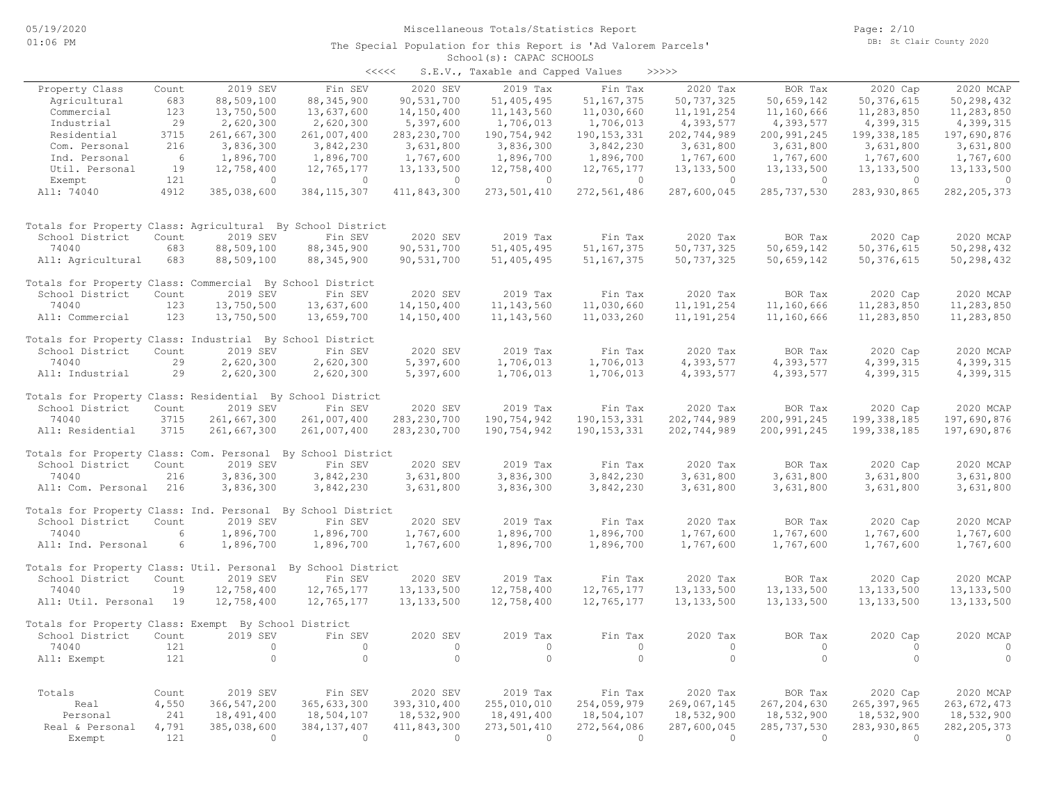#### School(s): CAPAC SCHOOLS The Special Population for this Report is 'Ad Valorem Parcels'

| S.E.V., Taxable and Capped Values<br>>>>>><br>くくくくく |  |  |  |  |  |  |  |  |  |  |  |  |  |  |  |  |  |  |  |  |  |  |  |  |  |  |  |  |  |  |  |  |  |  |  |  |  |  |  |  |  |  |  |  |  |  |  |  |  |  |  |  |  |  |  |  |  |  |  |  |  |  |  |  |  |  |  |  |  |  |  |  |  |
|-----------------------------------------------------|--|--|--|--|--|--|--|--|--|--|--|--|--|--|--|--|--|--|--|--|--|--|--|--|--|--|--|--|--|--|--|--|--|--|--|--|--|--|--|--|--|--|--|--|--|--|--|--|--|--|--|--|--|--|--|--|--|--|--|--|--|--|--|--|--|--|--|--|--|--|--|--|--|
|                                                     |  |  |  |  |  |  |  |  |  |  |  |  |  |  |  |  |  |  |  |  |  |  |  |  |  |  |  |  |  |  |  |  |  |  |  |  |  |  |  |  |  |  |  |  |  |  |  |  |  |  |  |  |  |  |  |  |  |  |  |  |  |  |  |  |  |  |  |  |  |  |  |  |  |

| Property Class                                              | Count | 2019 SEV                | Fin SEV                   | 2020 SEV                | 2019 Tax                  | Fin Tax                 | 2020 Tax                  | BOR Tax                   | 2020 Cap                  | 2020 MCAP                 |
|-------------------------------------------------------------|-------|-------------------------|---------------------------|-------------------------|---------------------------|-------------------------|---------------------------|---------------------------|---------------------------|---------------------------|
| Agricultural                                                | 683   | 88,509,100              | 88, 345, 900              | 90,531,700              | 51,405,495                | 51, 167, 375            | 50,737,325                | 50,659,142                | 50, 376, 615              | 50,298,432                |
| Commercial                                                  | 123   | 13,750,500              | 13,637,600                | 14,150,400              | 11, 143, 560              | 11,030,660              | 11, 191, 254              | 11,160,666                | 11,283,850                | 11,283,850                |
| Industrial                                                  | 29    | 2,620,300               | 2,620,300                 | 5,397,600               | 1,706,013                 | 1,706,013               | 4,393,577                 | 4,393,577                 | 4,399,315                 | 4,399,315                 |
| Residential                                                 | 3715  | 261,667,300             | 261,007,400               | 283, 230, 700           | 190,754,942               | 190, 153, 331           | 202,744,989               | 200, 991, 245             | 199, 338, 185             | 197,690,876               |
| Com. Personal                                               | 216   | 3,836,300               | 3,842,230                 | 3,631,800               | 3,836,300                 | 3,842,230               | 3,631,800                 | 3,631,800                 | 3,631,800                 | 3,631,800                 |
| Ind. Personal                                               | 6     | 1,896,700               | 1,896,700                 | 1,767,600               | 1,896,700                 | 1,896,700               | 1,767,600                 | 1,767,600                 | 1,767,600                 | 1,767,600                 |
| Util. Personal                                              | 19    | 12,758,400              | 12,765,177                | 13, 133, 500            | 12,758,400                | 12,765,177              | 13, 133, 500              | 13, 133, 500              | 13, 133, 500              | 13, 133, 500              |
| Exempt                                                      | 121   | $\mathbf{0}$            | $\circ$                   | $\circ$                 | $\overline{0}$            | $\circ$                 | $\overline{0}$            | $\circ$                   | $\circ$                   | $\circ$                   |
| All: 74040                                                  | 4912  | 385,038,600             | 384, 115, 307             | 411,843,300             | 273,501,410               | 272,561,486             | 287,600,045               | 285,737,530               | 283, 930, 865             | 282, 205, 373             |
| Totals for Property Class: Agricultural By School District  |       |                         |                           |                         |                           |                         |                           |                           |                           |                           |
| School District                                             | Count | 2019 SEV                | Fin SEV                   | 2020 SEV                | 2019 Tax                  | Fin Tax                 | 2020 Tax                  | BOR Tax                   | 2020 Cap                  | 2020 MCAP                 |
| 74040                                                       | 683   | 88,509,100              | 88, 345, 900              | 90,531,700              | 51,405,495                | 51, 167, 375            | 50,737,325                | 50,659,142                | 50,376,615                | 50,298,432                |
| All: Agricultural                                           | 683   | 88,509,100              | 88, 345, 900              | 90,531,700              | 51,405,495                | 51, 167, 375            | 50,737,325                | 50,659,142                | 50,376,615                | 50,298,432                |
| Totals for Property Class: Commercial By School District    |       |                         |                           |                         |                           |                         |                           |                           |                           |                           |
| School District                                             | Count | 2019 SEV                | Fin SEV                   | 2020 SEV                | 2019 Tax                  | Fin Tax                 | 2020 Tax                  | BOR Tax                   | 2020 Cap                  | 2020 MCAP                 |
| 74040                                                       | 123   | 13,750,500              | 13,637,600                | 14,150,400              | 11, 143, 560              | 11,030,660              | 11, 191, 254              | 11,160,666                | 11,283,850                | 11,283,850                |
| All: Commercial                                             | 123   | 13,750,500              | 13,659,700                | 14,150,400              | 11, 143, 560              | 11,033,260              | 11, 191, 254              | 11,160,666                | 11,283,850                | 11,283,850                |
| Totals for Property Class: Industrial By School District    |       |                         |                           |                         |                           |                         |                           |                           |                           |                           |
| School District                                             | Count | 2019 SEV                | Fin SEV                   | 2020 SEV                | 2019 Tax                  | Fin Tax                 | 2020 Tax                  | BOR Tax                   | 2020 Cap                  | 2020 MCAP                 |
| 74040                                                       | 29    | 2,620,300               | 2,620,300                 | 5,397,600               | 1,706,013                 | 1,706,013               | 4,393,577                 | 4,393,577                 | 4,399,315                 | 4,399,315                 |
| All: Industrial                                             | 29    | 2,620,300               | 2,620,300                 | 5,397,600               | 1,706,013                 | 1,706,013               | 4,393,577                 | 4,393,577                 | 4,399,315                 | 4,399,315                 |
| Totals for Property Class: Residential By School District   |       |                         |                           |                         |                           |                         |                           |                           |                           |                           |
| School District                                             | Count | 2019 SEV                | Fin SEV                   | 2020 SEV                | 2019 Tax                  | Fin Tax                 | 2020 Tax                  | BOR Tax                   | 2020 Cap                  | 2020 MCAP                 |
| 74040                                                       | 3715  | 261,667,300             | 261,007,400               | 283, 230, 700           | 190,754,942               | 190, 153, 331           | 202,744,989               | 200,991,245               | 199, 338, 185             | 197,690,876               |
| All: Residential                                            | 3715  | 261,667,300             | 261,007,400               | 283, 230, 700           | 190,754,942               | 190, 153, 331           | 202,744,989               | 200,991,245               | 199, 338, 185             | 197,690,876               |
| Totals for Property Class: Com. Personal By School District |       |                         |                           |                         |                           |                         |                           |                           |                           |                           |
| School District                                             | Count | 2019 SEV                | Fin SEV                   | 2020 SEV                | 2019 Tax                  | Fin Tax                 | 2020 Tax                  | BOR Tax                   | 2020 Cap                  | 2020 MCAP                 |
| 74040                                                       | 216   | 3,836,300               | 3,842,230                 | 3,631,800               | 3,836,300                 | 3,842,230               | 3,631,800                 | 3,631,800                 | 3,631,800                 | 3,631,800                 |
| All: Com. Personal                                          | 216   | 3,836,300               | 3,842,230                 | 3,631,800               | 3,836,300                 | 3,842,230               | 3,631,800                 | 3,631,800                 | 3,631,800                 | 3,631,800                 |
| Totals for Property Class: Ind. Personal By School District |       |                         |                           |                         |                           |                         |                           |                           |                           |                           |
| School District                                             | Count | 2019 SEV                | Fin SEV                   | 2020 SEV                | 2019 Tax                  | Fin Tax                 | 2020 Tax                  | BOR Tax                   | 2020 Cap                  | 2020 MCAP                 |
| 74040                                                       | 6     | 1,896,700               | 1,896,700                 | 1,767,600               | 1,896,700                 | 1,896,700               | 1,767,600                 | 1,767,600                 | 1,767,600                 | 1,767,600                 |
| All: Ind. Personal                                          | 6     | 1,896,700               | 1,896,700                 | 1,767,600               | 1,896,700                 | 1,896,700               | 1,767,600                 | 1,767,600                 | 1,767,600                 | 1,767,600                 |
| Totals for Property Class: Util. Personal                   |       |                         | By School District        |                         |                           |                         |                           |                           |                           |                           |
| School District                                             | Count | 2019 SEV                | Fin SEV                   | 2020 SEV                | 2019 Tax                  | Fin Tax                 | 2020 Tax                  | BOR Tax                   | 2020 Cap                  | 2020 MCAP                 |
| 74040                                                       | 19    | 12,758,400              | 12,765,177                | 13, 133, 500            | 12,758,400                | 12,765,177              | 13, 133, 500              | 13, 133, 500              | 13, 133, 500              | 13, 133, 500              |
| All: Util. Personal                                         | 19    | 12,758,400              | 12,765,177                | 13, 133, 500            | 12,758,400                | 12,765,177              | 13, 133, 500              | 13, 133, 500              | 13, 133, 500              | 13, 133, 500              |
| Totals for Property Class: Exempt By School District        |       |                         |                           |                         |                           |                         |                           |                           |                           |                           |
| School District                                             | Count | 2019 SEV                | Fin SEV                   | 2020 SEV                | 2019 Tax                  | Fin Tax                 | 2020 Tax                  | BOR Tax                   | 2020 Cap                  | 2020 MCAP                 |
| 74040                                                       | 121   | $\circ$                 | $\circ$                   | $\circ$                 | $\circ$                   | $\circ$                 | $\circ$                   | $\circ$                   | $\circ$                   | $\circ$                   |
| All: Exempt                                                 | 121   | $\circ$                 | $\circ$                   | $\circ$                 | $\circ$                   | $\circ$                 | $\circ$                   | $\circ$                   | $\Omega$                  | $\circ$                   |
|                                                             |       |                         |                           |                         |                           |                         |                           |                           |                           |                           |
| Totals                                                      | Count | 2019 SEV                | Fin SEV                   | 2020 SEV                | 2019 Tax                  | Fin Tax                 | 2020 Tax                  | BOR Tax                   | 2020 Cap                  | 2020 MCAP                 |
| Real                                                        | 4,550 | 366, 547, 200           | 365, 633, 300             | 393, 310, 400           | 255,010,010               | 254,059,979             | 269,067,145               | 267, 204, 630             | 265, 397, 965             | 263, 672, 473             |
| Personal                                                    | 241   | 18,491,400              | 18,504,107                | 18,532,900              | 18,491,400                | 18,504,107              | 18,532,900                | 18,532,900                | 18,532,900                | 18,532,900                |
| Real & Personal                                             | 4,791 | 385,038,600<br>$\Omega$ | 384, 137, 407<br>$\Omega$ | 411,843,300<br>$\Omega$ | 273,501,410<br>$\bigcirc$ | 272,564,086<br>$\Omega$ | 287,600,045<br>$\bigcirc$ | 285, 737, 530<br>$\Omega$ | 283,930,865<br>$\bigcirc$ | 282, 205, 373<br>$\Omega$ |
| Exempt                                                      | 121   |                         |                           |                         |                           |                         |                           |                           |                           |                           |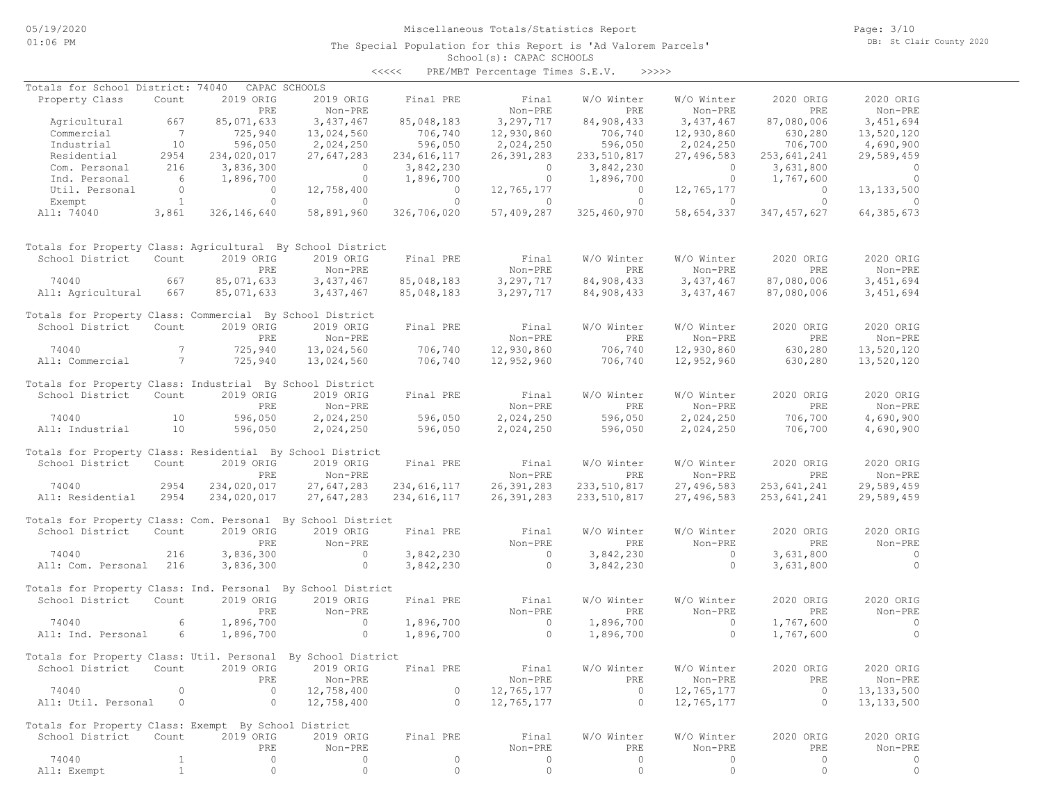# Miscellaneous Totals/Statistics Report

The Special Population for this Report is 'Ad Valorem Parcels'

Page: 3/10 DB: St Clair County 2020

#### School(s): CAPAC SCHOOLS <<<<< PRE/MBT Percentage Times S.E.V. >>>>>

| Totals for School District: 74040                            |                                        | CAPAC SCHOOLS                                                                                                         |                                       |                                                         |                                                        |                       |                       |                                  |                |
|--------------------------------------------------------------|----------------------------------------|-----------------------------------------------------------------------------------------------------------------------|---------------------------------------|---------------------------------------------------------|--------------------------------------------------------|-----------------------|-----------------------|----------------------------------|----------------|
| Property Class                                               | Count                                  | 2019 ORIG                                                                                                             | 2019 ORIG                             | Final PRE                                               | Final                                                  | W/O Winter            | W/O Winter            | 2020 ORIG                        | 2020 ORIG      |
|                                                              |                                        | PRE                                                                                                                   | Non-PRE                               |                                                         | Non-PRE                                                | PRE                   | Non-PRE               | PRE                              | Non-PRE        |
| Agricultural 667                                             |                                        | 85,071,633                                                                                                            | 3,437,467                             | 85,048,183                                              | 3,297,717                                              | 84,908,433            | 3,437,467             | 87,080,006                       | 3,451,694      |
| Commercial                                                   | $\begin{array}{c} 7 \\ 10 \end{array}$ | 725,940<br>596,050                                                                                                    | 13,024,560                            | 706,740<br>596,050                                      | 12,930,860                                             | $706, 740$<br>596.050 | 12,930,860            | 630,280<br>706,700               | 13,520,120     |
| Industrial                                                   |                                        |                                                                                                                       | 2,024,250                             |                                                         | 2,024,250                                              |                       | 2,024,250             |                                  | 4,690,900      |
| Residential                                                  | 2954                                   | 234,020,017                                                                                                           | 27,647,283                            | 234,616,117                                             | 26,391,283                                             | 233,510,817           | 27,496,583            | 253,641,241                      | 29,589,459     |
| Com. Personal                                                | 216                                    | 3,836,300                                                                                                             |                                       | 3,842,230                                               |                                                        | 3,842,230             | $\overline{0}$        | 3,631,800                        | $\overline{0}$ |
| Ind. Personal                                                | $6\overline{6}$                        | 1,896,700                                                                                                             | $\begin{matrix} 0 \\ 0 \end{matrix}$  | 1,896,700                                               | $\begin{matrix} 0 \\ 0 \end{matrix}$                   | 1,896,700             | $\overline{0}$        | 1,767,600                        | $\sim$ 0       |
| Util. Personal                                               |                                        |                                                                                                                       | 12,758,400                            |                                                         | 12,765,177                                             |                       | 12,765,177            |                                  | 13, 133, 500   |
|                                                              |                                        | $\begin{matrix} \text{nal} & \hspace{1.5cm} 0 & \hspace{1.5cm} 0 \\ \hspace{1.5cm} 1 & \hspace{1.5cm} 0 \end{matrix}$ | $\sim$ 0 $\sim$ 0 $\sim$              | $\begin{array}{c} 0 \\ 0 \end{array}$<br>$\overline{0}$ | $\sim$ 0                                               | $\overline{a}$        |                       | $\overline{a}$<br>$\overline{0}$ | $\sim$ 0       |
| Exempt                                                       |                                        | 326, 146, 640                                                                                                         |                                       |                                                         |                                                        | 325,460,970           |                       |                                  |                |
| All: 74040 3,861                                             |                                        |                                                                                                                       | 58,891,960                            | 326,706,020                                             | 57,409,287                                             |                       |                       | 58,654,337 347,457,627           | 64,385,673     |
| Totals for Property Class: Agricultural By School District   |                                        |                                                                                                                       |                                       |                                                         |                                                        |                       |                       |                                  |                |
| School District                                              | Count                                  | 2019 ORIG                                                                                                             | 2019 ORIG                             | Final PRE                                               | Final                                                  | W/O Winter            | W/O Winter            | 2020 ORIG                        | 2020 ORIG      |
|                                                              |                                        | PRE                                                                                                                   | Non-PRE                               |                                                         | Non-PRE                                                | <b>PRE</b>            | Non-PRE               | PRE                              | Non-PRE        |
| 74040                                                        | 667                                    | 85,071,633                                                                                                            | 3, 437, 467                           |                                                         | 85,048,183 3,297,717                                   |                       | 84,908,433 3,437,467  | 87,080,006                       | 3, 451, 694    |
| All: Agricultural 667                                        |                                        | 85,071,633                                                                                                            | 3, 437, 467                           |                                                         | 85,048,183 3,297,717                                   |                       | 84,908,433 3,437,467  | 87,080,006                       | 3,451,694      |
|                                                              |                                        |                                                                                                                       |                                       |                                                         |                                                        |                       |                       |                                  |                |
| Totals for Property Class: Commercial By School District     |                                        |                                                                                                                       |                                       |                                                         |                                                        |                       |                       |                                  |                |
| School District Count                                        |                                        | 2019 ORIG                                                                                                             | 2019 ORIG                             | Final PRE                                               | Final                                                  | W/O Winter            | W/O Winter            | 2020 ORIG                        | 2020 ORIG      |
|                                                              |                                        | PRE                                                                                                                   | Non-PRE                               |                                                         | Non-PRE                                                | PRE                   | Non-PRE               | PRE                              | Non-PRE        |
| 74040                                                        | $7\overline{ }$                        | 725,940                                                                                                               | 13,024,560                            | 706,740                                                 | 12,930,860                                             | 706,740               | 12,930,860            | 630,280                          | 13,520,120     |
| All: Commercial 7                                            |                                        | 725,940                                                                                                               | 13,024,560                            | 706,740                                                 | 12,952,960                                             | 706,740               | 12,952,960            | 630,280                          | 13,520,120     |
|                                                              |                                        |                                                                                                                       |                                       |                                                         |                                                        |                       |                       |                                  |                |
| Totals for Property Class: Industrial By School District     |                                        |                                                                                                                       |                                       |                                                         |                                                        |                       |                       |                                  |                |
| School District                                              | Count                                  | 2019 ORIG                                                                                                             | 2019 ORIG                             | Final PRE                                               | Final                                                  | W/O Winter            | W/O Winter            | 2020 ORIG                        | 2020 ORIG      |
|                                                              |                                        | PRE                                                                                                                   | Non-PRE                               |                                                         | Non-PRE                                                | PRE                   | Non-PRE               | PRE                              | Non-PRE        |
| 74040                                                        | 10                                     |                                                                                                                       | 2,024,250                             | 596,050<br>596,050                                      | 2,024,250                                              | 596,050               | 2,024,250             | 706,700<br>706,700               | 4,690,900      |
| All: Industrial                                              | 10                                     | 596,050<br>596,050                                                                                                    | 2,024,250                             |                                                         | 2,024,250                                              | 596,050               | 2,024,250             |                                  | 4,690,900      |
|                                                              |                                        |                                                                                                                       |                                       |                                                         |                                                        |                       |                       |                                  |                |
| Totals for Property Class: Residential By School District    |                                        |                                                                                                                       |                                       |                                                         |                                                        |                       |                       |                                  |                |
| School District Count                                        |                                        | 2019 ORIG                                                                                                             | 2019 ORIG                             | Final PRE                                               | Final                                                  | W/O Winter            | W/O Winter            | 2020 ORIG                        | 2020 ORIG      |
|                                                              |                                        | PRE                                                                                                                   | Non-PRE                               |                                                         | Non-PRE                                                | <b>EXECUTE</b>        | Non-PRE               | PRE                              | Non-PRE        |
| 74040                                                        | 2954                                   | 234,020,017                                                                                                           | 27,647,283                            | 234,616,117                                             | 26, 391, 283                                           | 233, 510, 817         |                       | 253,641,241                      | 29,589,459     |
|                                                              |                                        |                                                                                                                       |                                       |                                                         |                                                        |                       | 27,496,583            |                                  |                |
| All: Residential 2954                                        |                                        | 234,020,017                                                                                                           | 27,647,283                            | 234,616,117                                             | 26,391,283                                             | 233,510,817           | 27,496,583            | 253,641,241                      | 29,589,459     |
| Totals for Property Class: Com. Personal By School District  |                                        |                                                                                                                       |                                       |                                                         |                                                        |                       |                       |                                  |                |
| School District Count                                        |                                        | 2019 ORIG                                                                                                             | 2019 ORIG                             | Final PRE                                               | Final                                                  | W/O Winter            | W/O Winter            | 2020 ORIG                        | 2020 ORIG      |
|                                                              |                                        | PRE                                                                                                                   | Non-PRE                               |                                                         | Non-PRE                                                | PRE                   | Non-PRE               | PRE                              | Non-PRE        |
| 216<br>74040                                                 |                                        | 3,836,300                                                                                                             | $\overline{0}$                        | 3,842,230                                               |                                                        | 3,842,230             | $\overline{0}$        | 3,631,800                        | $\overline{0}$ |
|                                                              |                                        |                                                                                                                       |                                       |                                                         | $\begin{matrix} 0 \\ 0 \end{matrix}$<br>$\overline{0}$ |                       | $\overline{0}$        |                                  | $\overline{0}$ |
| All: Com. Personal 216                                       |                                        | 3,836,300                                                                                                             | $\sim$ 0                              | 3,842,230                                               |                                                        | 3,842,230             |                       | 3,631,800                        |                |
| Totals for Property Class: Ind. Personal By School District  |                                        |                                                                                                                       |                                       |                                                         |                                                        |                       |                       |                                  |                |
| School District                                              | Count                                  | 2019 ORIG                                                                                                             | 2019 ORIG                             | Final PRE                                               | Final                                                  | W/O Winter            | W/O Winter            | 2020 ORIG                        | 2020 ORIG      |
|                                                              |                                        | PRE                                                                                                                   | Non-PRE                               |                                                         | Non-PRE                                                | PRE                   | Non-PRE               | PRE                              | Non-PRE        |
| 74040                                                        | 6                                      | 1,896,700                                                                                                             |                                       | $\frac{1}{1}$ , 896, 700<br>$\frac{1}{1}$ , 896, 700    |                                                        | 1,896,700             | $\sim$ 0              | 1,767,600                        | $\sim$ 0       |
|                                                              |                                        | 1,896,700                                                                                                             | $\begin{array}{c} 0 \\ 0 \end{array}$ |                                                         |                                                        | 1,896,700             | $\circ$               |                                  | $\sim$ 0       |
| All: Ind. Personal 6                                         |                                        |                                                                                                                       |                                       |                                                         |                                                        |                       |                       | 1,767,600                        |                |
| Totals for Property Class: Util. Personal By School District |                                        |                                                                                                                       |                                       |                                                         |                                                        |                       |                       |                                  |                |
| School District Count 2019 ORIG 2019 ORIG Final PRE          |                                        |                                                                                                                       |                                       |                                                         | Final                                                  |                       | W/O Winter W/O Winter | 2020 ORIG                        | 2020 ORIG      |
|                                                              |                                        |                                                                                                                       |                                       |                                                         | Non-PRE                                                |                       |                       |                                  |                |
|                                                              | $\circ$                                | PRE<br>$\circ$                                                                                                        | Non-PRE                               | $\circ$                                                 |                                                        | PRE<br>$\circ$        | Non-PRE               | PRE<br>$\circ$                   | Non-PRE        |
| 74040                                                        |                                        |                                                                                                                       | 12,758,400                            |                                                         | 12,765,177                                             |                       | 12,765,177            |                                  | 13, 133, 500   |
| All: Util. Personal                                          | $\circ$                                | $\circ$                                                                                                               | 12,758,400                            | $\circ$                                                 | 12,765,177                                             | $\circ$               | 12,765,177            | $\circ$                          | 13, 133, 500   |
| Totals for Property Class: Exempt By School District         |                                        |                                                                                                                       |                                       |                                                         |                                                        |                       |                       |                                  |                |
| School District                                              | Count                                  | 2019 ORIG                                                                                                             | 2019 ORIG                             | Final PRE                                               | Final                                                  | W/O Winter            | W/O Winter            | 2020 ORIG                        | 2020 ORIG      |
|                                                              |                                        | PRE                                                                                                                   | Non-PRE                               |                                                         | Non-PRE                                                | PRE                   | Non-PRE               | PRE                              | Non-PRE        |
|                                                              |                                        |                                                                                                                       |                                       |                                                         |                                                        |                       |                       |                                  |                |
| 74040                                                        | $\mathbf{1}$                           | $\circ$                                                                                                               | 0                                     | $\circ$                                                 | 0                                                      | 0                     | 0                     | $\circ$                          | 0              |
| All: Exempt                                                  | $\mathbf{1}$                           | $\circ$                                                                                                               | $\circ$                               | $\circ$                                                 | $\circ$                                                | $\circ$               | $\circ$               | $\circ$                          | $\circ$        |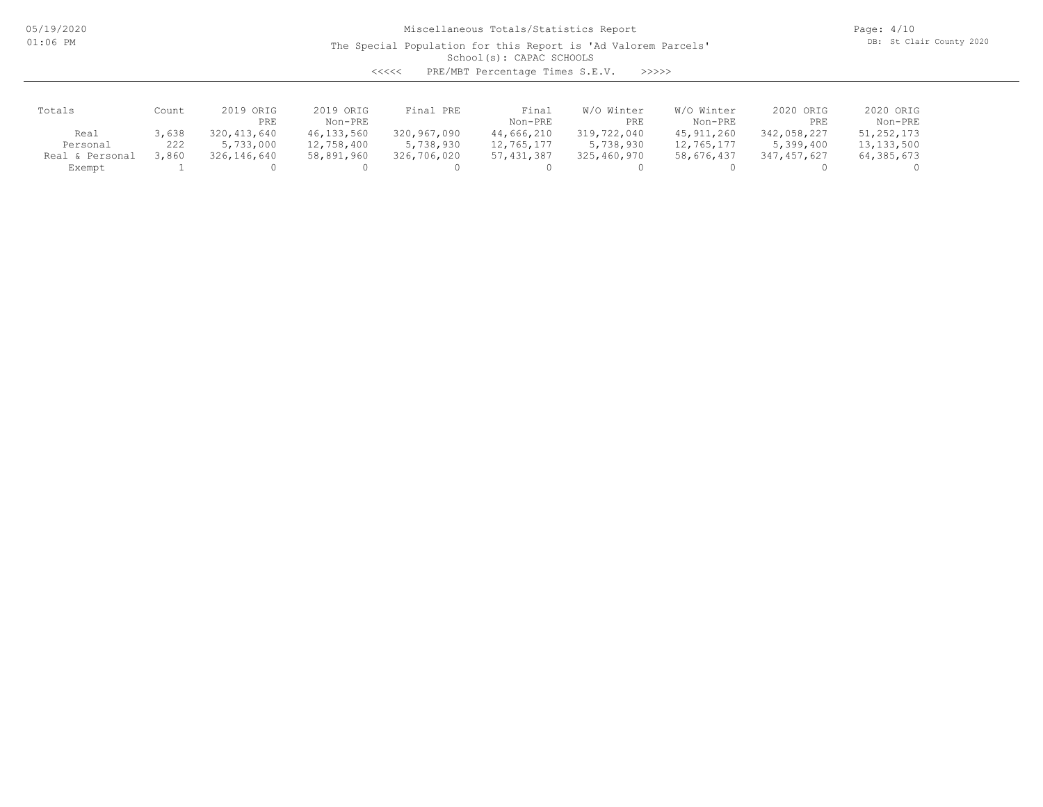05/19/2020 01:06 PM

# Miscellaneous Totals/Statistics Report

The Special Population for this Report is 'Ad Valorem Parcels'

Page: 4/10 DB: St Clair County 2020

# School(s): CAPAC SCHOOLS

<<<<< PRE/MBT Percentage Times S.E.V. >>>>>

| Totals          | Count | 2019 ORIG<br>PRE | 2019 ORIG<br>Non-PRE | Final PRE   | Final<br>Non-PRE | W/O Winter<br>PRE | W/O Winter<br>Non-PRE | 2020 ORIG<br>PRE | 2020 ORIG<br>Non-PRE |
|-----------------|-------|------------------|----------------------|-------------|------------------|-------------------|-----------------------|------------------|----------------------|
| Real            | 3,638 | 320, 413, 640    | 46, 133, 560         | 320,967,090 | 44,666,210       | 319,722,040       | 45, 911, 260          | 342,058,227      | 51, 252, 173         |
| Personal        | 222   | 5,733,000        | 12,758,400           | 5,738,930   | 12,765,177       | 5,738,930         | 12,765,177            | 5,399,400        | 13, 133, 500         |
| Real & Personal | .860  | 326,146,640      | 58,891,960           | 326,706,020 | 57, 431, 387     | 325,460,970       | 58,676,437            | 347,457,627      | 64,385,673           |
| Exempt          |       |                  |                      |             |                  |                   |                       |                  |                      |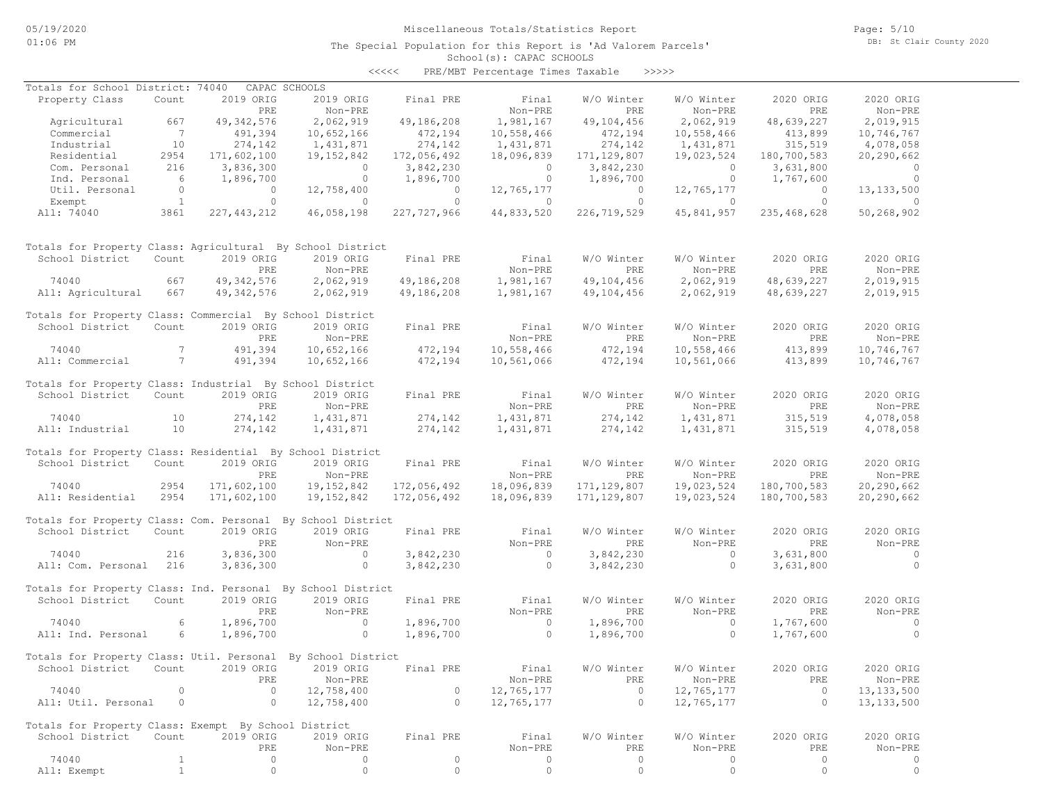# Miscellaneous Totals/Statistics Report

The Special Population for this Report is 'Ad Valorem Parcels'

Page: 5/10 DB: St Clair County 2020

#### School(s): CAPAC SCHOOLS <<<<< PRE/MBT Percentage Times Taxable >>>>>

| Totals for School District: 74040                            |                 |                | CAPAC SCHOOLS  |                    |                          |                |                |                |                |
|--------------------------------------------------------------|-----------------|----------------|----------------|--------------------|--------------------------|----------------|----------------|----------------|----------------|
| Property Class                                               | Count           | 2019 ORIG      | 2019 ORIG      | Final PRE          | Final                    | W/O Winter     | W/O Winter     | 2020 ORIG      | 2020 ORIG      |
|                                                              |                 | PRE            | Non-PRE        |                    | Non-PRE                  | PRE            | Non-PRE        | PRE            | Non-PRE        |
| Agricultural                                                 | 667             | 49, 342, 576   | 2,062,919      | 49,186,208         | 1,981,167                | 49,104,456     | 2,062,919      | 48,639,227     | 2,019,915      |
| Commercial                                                   | $\overline{7}$  | 491,394        | 10,652,166     |                    | 10,558,466               | 472, 194       | 10,558,466     | 413,899        | 10,746,767     |
| Industrial                                                   | 10              | 274,142        | 1,431,871      | 472,194<br>274,142 | 1,431,871                | 274,142        | 1,431,871      | 315, 519       | 4,078,058      |
| Residential                                                  | 2954            | 171,602,100    | 19,152,842     | 172,056,492        | 18,096,839               | 171, 129, 807  | 19,023,524     | 180,700,583    | 20,290,662     |
| Com. Personal                                                | 216             | 3,836,300      | $\sim$ 0       | 3,842,230          | $\overline{\phantom{0}}$ | 3,842,230      | $\overline{0}$ | 3,631,800      | $\overline{0}$ |
| Ind. Personal                                                | 6               | 1,896,700      | $\overline{0}$ | 1,896,700          | $\overline{0}$           | 1,896,700      | $\overline{0}$ | 1,767,600      | $\bigcirc$     |
| Util. Personal                                               | $\overline{0}$  | $\overline{0}$ | 12,758,400     | $\overline{0}$     | 12,765,177               | $\overline{0}$ | 12,765,177     | $\overline{0}$ | 13, 133, 500   |
| Exempt                                                       | $\overline{1}$  | $\circ$        | $\overline{0}$ | $\circ$            | $\overline{0}$           | $\circ$        | $\overline{0}$ | $\circ$        | $\circ$        |
| All: 74040                                                   | 3861            | 227, 443, 212  | 46,058,198     | 227,727,966        | 44,833,520               | 226,719,529    | 45,841,957     | 235,468,628    | 50,268,902     |
|                                                              |                 |                |                |                    |                          |                |                |                |                |
| Totals for Property Class: Agricultural By School District   |                 |                |                |                    |                          |                |                |                |                |
| School District                                              | Count           | 2019 ORIG      | 2019 ORIG      | Final PRE          | Final                    | W/O Winter     | W/O Winter     | 2020 ORIG      | 2020 ORIG      |
|                                                              |                 | PRE            | Non-PRE        |                    | Non-PRE                  | PRE            | Non-PRE        | PRE            | Non-PRE        |
| 74040                                                        | 667             | 49, 342, 576   | 2,062,919      | 49,186,208         | 1,981,167                | 49,104,456     | 2,062,919      | 48,639,227     | 2,019,915      |
| All: Agricultural                                            | 667             | 49, 342, 576   | 2,062,919      | 49,186,208         | 1,981,167                | 49,104,456     | 2,062,919      | 48,639,227     | 2,019,915      |
|                                                              |                 |                |                |                    |                          |                |                |                |                |
| Totals for Property Class: Commercial By School District     |                 |                |                |                    |                          |                |                |                |                |
| School District                                              | Count           | 2019 ORIG      | 2019 ORIG      | Final PRE          | Final                    | W/O Winter     | W/O Winter     | 2020 ORIG      | 2020 ORIG      |
|                                                              |                 |                |                |                    |                          |                |                | PRE            |                |
|                                                              |                 | PRE            | Non-PRE        |                    | Non-PRE                  | PRE            | Non-PRE        |                | Non-PRE        |
| 74040                                                        | $7\phantom{.0}$ | 491,394        | 10,652,166     | 472,194            | 10,558,466               | 472,194        | 10,558,466     | 413,899        | 10,746,767     |
| All: Commercial                                              | $7\phantom{0}$  | 491,394        | 10,652,166     | 472,194            | 10,561,066               | 472,194        | 10,561,066     | 413,899        | 10,746,767     |
|                                                              |                 |                |                |                    |                          |                |                |                |                |
| Totals for Property Class: Industrial By School District     |                 |                |                |                    |                          |                |                |                |                |
| School District                                              | Count           | 2019 ORIG      | 2019 ORIG      | Final PRE          | Final                    | W/O Winter     | W/O Winter     | 2020 ORIG      | 2020 ORIG      |
|                                                              |                 | PRE            | Non-PRE        |                    | Non-PRE                  | PRE            | Non-PRE        | PRE            | Non-PRE        |
| 74040                                                        | 10              | 274,142        | 1,431,871      | 274, 142           | 1,431,871                | 274,142        | 1,431,871      | 315,519        | 4,078,058      |
| All: Industrial                                              | 10              | 274,142        | 1,431,871      | 274,142            | 1,431,871                | 274,142        | 1,431,871      | 315,519        | 4,078,058      |
|                                                              |                 |                |                |                    |                          |                |                |                |                |
| Totals for Property Class: Residential By School District    |                 |                |                |                    |                          |                |                |                |                |
| School District                                              | Count           | 2019 ORIG      | 2019 ORIG      | Final PRE          | Final                    | W/O Winter     | W/O Winter     | 2020 ORIG      | 2020 ORIG      |
|                                                              |                 | PRE            | Non-PRE        |                    | Non-PRE                  | PRE            | Non-PRE        | PRE            | Non-PRE        |
| 74040                                                        | 2954            | 171,602,100    | 19,152,842     | 172,056,492        | 18,096,839               | 171, 129, 807  | 19,023,524     | 180,700,583    | 20,290,662     |
|                                                              | 2954            |                |                |                    |                          |                |                |                |                |
| All: Residential                                             |                 | 171,602,100    | 19,152,842     | 172,056,492        | 18,096,839               | 171, 129, 807  | 19,023,524     | 180,700,583    | 20,290,662     |
|                                                              |                 |                |                |                    |                          |                |                |                |                |
| Totals for Property Class: Com. Personal By School District  |                 |                |                |                    |                          |                |                |                |                |
| School District                                              | Count           | 2019 ORIG      | 2019 ORIG      | Final PRE          | Final                    | W/O Winter     | W/O Winter     | 2020 ORIG      | 2020 ORIG      |
|                                                              |                 | PRE            | Non-PRE        |                    | Non-PRE                  | PRE            | Non-PRE        | PRE            | Non-PRE        |
| 74040                                                        | 216             | 3,836,300      | $\sim$ 0       | 3,842,230          | $\overline{0}$           | 3,842,230      | $\sim$ 0       | 3,631,800      | $\sim$ 0       |
| All: Com. Personal 216                                       |                 | 3,836,300      | $\circ$        | 3,842,230          | $\circ$                  | 3,842,230      | $\circ$        | 3,631,800      | $\overline{0}$ |
|                                                              |                 |                |                |                    |                          |                |                |                |                |
| Totals for Property Class: Ind. Personal By School District  |                 |                |                |                    |                          |                |                |                |                |
| School District                                              | Count           | 2019 ORIG      | 2019 ORIG      | Final PRE          | Final                    | W/O Winter     | W/O Winter     | 2020 ORIG      | 2020 ORIG      |
|                                                              |                 | PRE            | Non-PRE        |                    | Non-PRE                  | PRE            | Non-PRE        | PRE            | Non-PRE        |
| 74040                                                        | 6               | 1,896,700      | $\circ$        | 1,896,700          | $\overline{0}$           | 1,896,700      | $\overline{0}$ | 1,767,600      | $\overline{0}$ |
| All: Ind. Personal                                           | 6               | 1,896,700      | $\circ$        |                    | $\overline{0}$           |                | $\circ$        |                | $\overline{0}$ |
|                                                              |                 |                |                | 1,896,700          |                          | 1,896,700      |                | 1,767,600      |                |
|                                                              |                 |                |                |                    |                          |                |                |                |                |
| Totals for Property Class: Util. Personal By School District |                 |                |                |                    |                          |                |                |                |                |
| School District Count 2019 ORIG 2019 ORIG Final PRE          |                 |                |                |                    | Final                    | W/O Winter     | W/O Winter     | 2020 ORIG      | 2020 ORIG      |
|                                                              |                 | PRE            | Non-PRE        |                    | Non-PRE                  | PRE            | Non-PRE        | PRE            | Non-PRE        |
| 74040                                                        | 0               | $\circ$        | 12,758,400     | 0                  | 12,765,177               | 0              | 12,765,177     | $\circ$        | 13, 133, 500   |
| All: Util. Personal                                          | 0               | $\circ$        | 12,758,400     | $\circ$            | 12,765,177               | $\circ$        | 12,765,177     | $\circ$        | 13, 133, 500   |
|                                                              |                 |                |                |                    |                          |                |                |                |                |
| Totals for Property Class: Exempt By School District         |                 |                |                |                    |                          |                |                |                |                |
| School District                                              | Count           | 2019 ORIG      | 2019 ORIG      | Final PRE          | Final                    | W/O Winter     | W/O Winter     | 2020 ORIG      | 2020 ORIG      |
|                                                              |                 | PRE            | Non-PRE        |                    | Non-PRE                  | PRE            | Non-PRE        | PRE            | Non-PRE        |
|                                                              |                 |                |                |                    |                          |                |                |                |                |
| 74040                                                        | $\mathbf{1}$    | 0              | 0              | $\circ$            | 0                        | 0              | 0              | 0              | 0              |
| All: Exempt                                                  | $\mathbf{1}$    | $\circ$        | $\circ$        | $\circ$            | $\circ$                  | $\circ$        | $\circ$        | 0              | $\circ$        |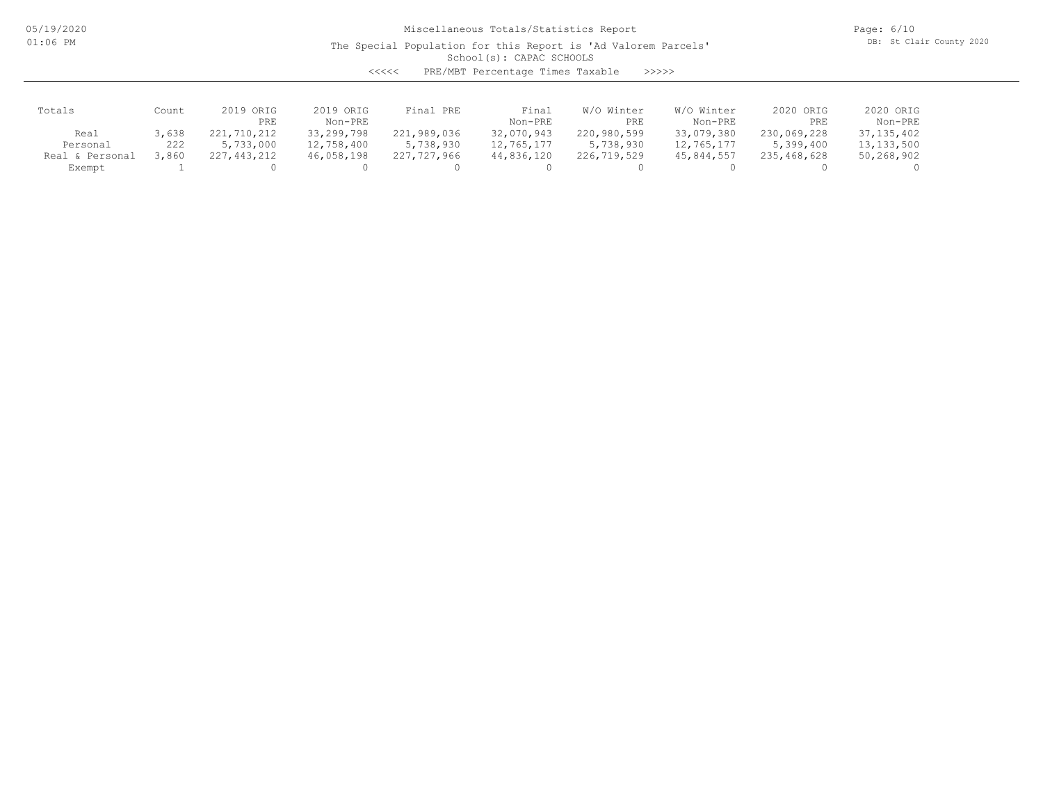05/19/2020 01:06 PM

# Miscellaneous Totals/Statistics Report

The Special Population for this Report is 'Ad Valorem Parcels'

Page: 6/10 DB: St Clair County 2020

School(s): CAPAC SCHOOLS

<<<<< PRE/MBT Percentage Times Taxable >>>>>

| Totals          | Count | 2019 ORIG<br>PRE | 2019 ORIG<br>Non-PRE | Final PRE   | Final<br>Non-PRE | W/O Winter<br>PRE | W/O Winter<br>Non-PRE | 2020 ORIG<br>PRE | 2020 ORIG<br>Non-PRE |
|-----------------|-------|------------------|----------------------|-------------|------------------|-------------------|-----------------------|------------------|----------------------|
| Real            | 3,638 | 221,710,212      | 33, 299, 798         | 221,989,036 | 32,070,943       | 220,980,599       | 33,079,380            | 230,069,228      | 37,135,402           |
| Personal        | 222   | 5,733,000        | 12,758,400           | 5,738,930   | 12,765,177       | 5,738,930         | 12,765,177            | 5,399,400        | 13, 133, 500         |
| Real & Personal | ,860  | 227,443,212      | 46,058,198           | 227,727,966 | 44,836,120       | 226,719,529       | 45,844,557            | 235,468,628      | 50,268,902           |
| Exempt          |       |                  |                      |             |                  |                   |                       |                  |                      |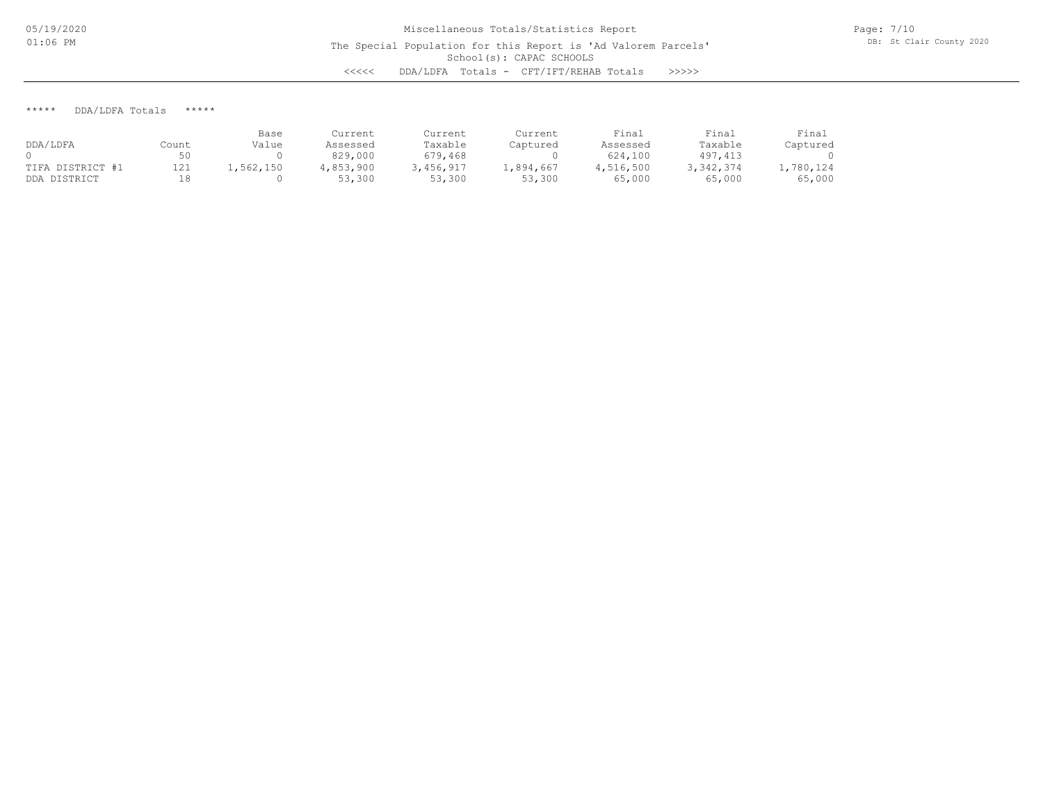\*\*\*\*\* DDA/LDFA Totals \*\*\*\*\*

|                  |       | Base      | Current   | Current   | Current   | Final     | Final       | Final     |
|------------------|-------|-----------|-----------|-----------|-----------|-----------|-------------|-----------|
| DDA/LDFA         | Count | Value     | Assessed  | Taxable   | Captured  | Assessed  | Taxable     | Captured  |
|                  |       |           | 829,000   | 679,468   |           | 624,100   | 497, 413    |           |
| TIFA DISTRICT #1 | 121   | 1,562,150 | 4,853,900 | 3,456,917 | .,894,667 | 4,516,500 | 3, 342, 374 | 1,780,124 |
| DDA DISTRICT     |       |           | 53,300    | 53,300    | 53,300    | 65,000    | 65,000      | 65,000    |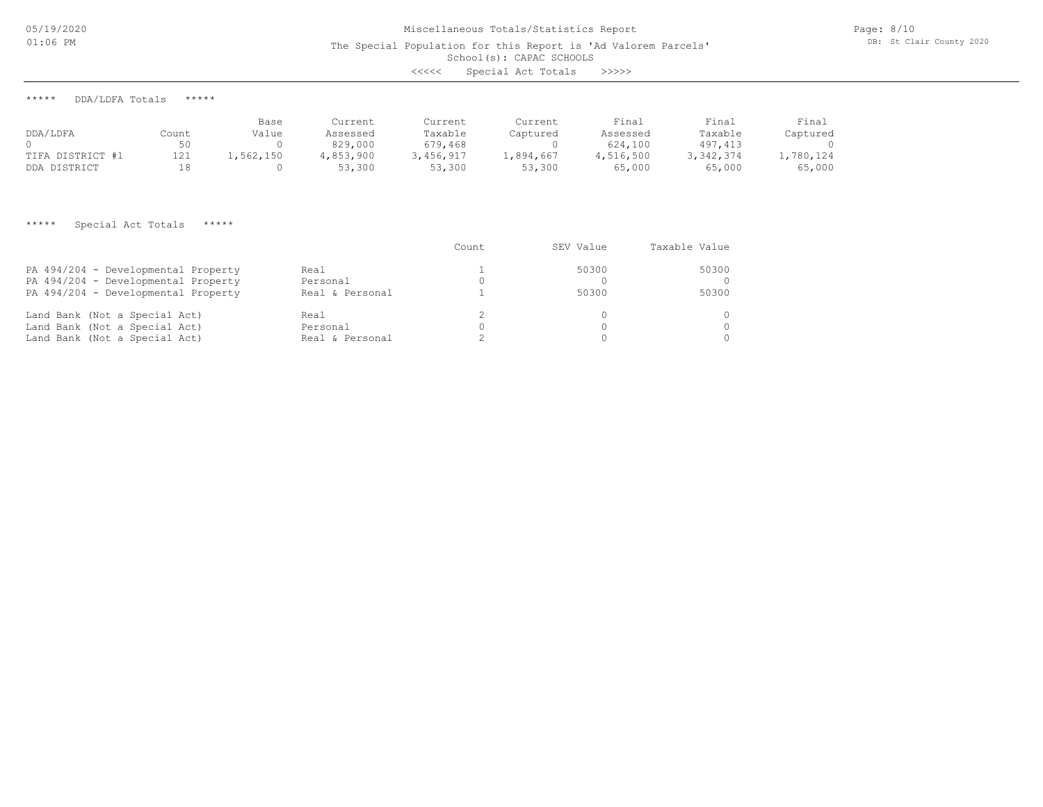05/19/2020 01:06 PM

The Special Population for this Report is 'Ad Valorem Parcels'

#### School(s): CAPAC SCHOOLS

| <<<< | Special Act Totals |  |  | >>>>> |
|------|--------------------|--|--|-------|
|------|--------------------|--|--|-------|

\*\*\*\*\* DDA/LDFA Totals \*\*\*\*\*

|                  |       | Base      | Current   | Current   | Current   | Final     | Final     | Final     |
|------------------|-------|-----------|-----------|-----------|-----------|-----------|-----------|-----------|
| DDA/LDFA         | Count | Value     | Assessed  | Taxable   | Captured  | Assessed  | Taxable   | Captured  |
|                  |       |           | 829,000   | 679,468   |           | 624,100   | 497, 413  |           |
| TIFA DISTRICT #1 | 121   | .,562,150 | 4,853,900 | 3,456,917 | 1,894,667 | 4,516,500 | 3,342,374 | 1,780,124 |
| DDA DISTRICT     |       |           | 53,300    | 53,300    | 53,300    | 65,000    | 65,000    | 65,000    |

#### \*\*\*\*\* Special Act Totals \*\*\*\*\*

|                                     |                 | Count | SEV Value | Taxable Value |
|-------------------------------------|-----------------|-------|-----------|---------------|
| PA 494/204 - Developmental Property | Real            |       | 50300     | 50300         |
| PA 494/204 - Developmental Property | Personal        |       |           |               |
| PA 494/204 - Developmental Property | Real & Personal |       | 50300     | 50300         |
| Land Bank (Not a Special Act)       | Real            |       |           |               |
| Land Bank (Not a Special Act)       | Personal        |       |           | $\Omega$      |
| Land Bank (Not a Special Act)       | Real & Personal |       |           | $\cap$        |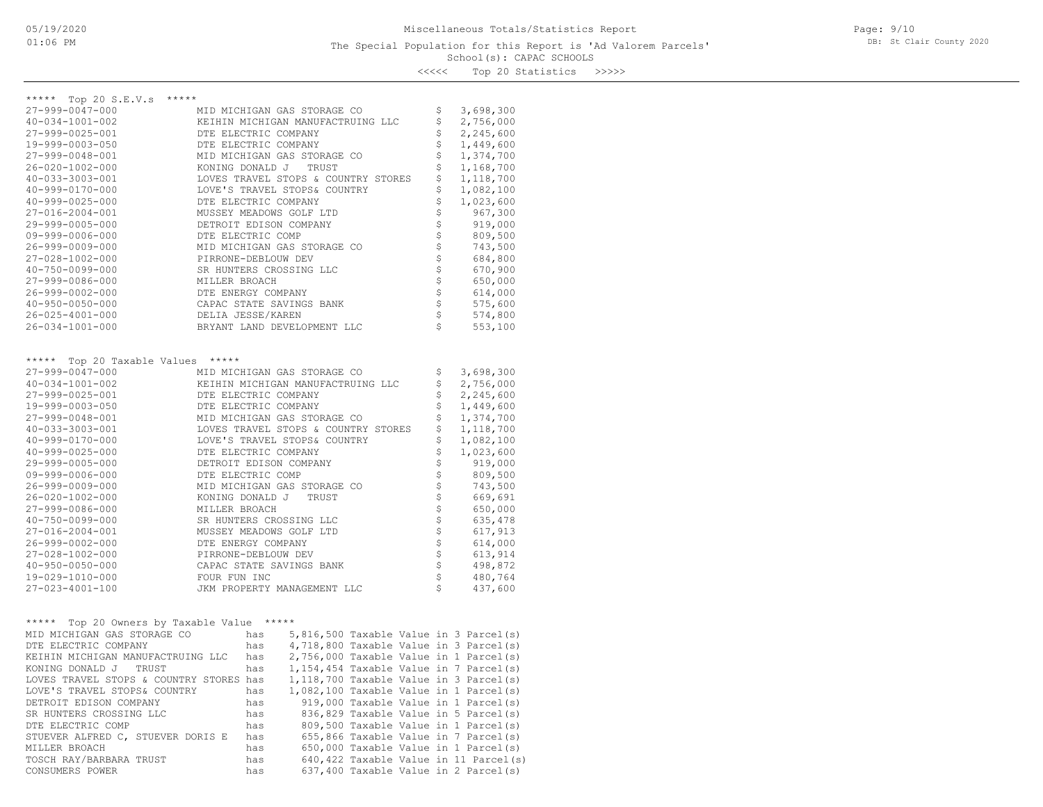<<<<< Top 20 Statistics >>>>>

| ***** Top 20 S.E.V.s<br>*****                                 |                      |            |                                     |  |            |                                                                                  |
|---------------------------------------------------------------|----------------------|------------|-------------------------------------|--|------------|----------------------------------------------------------------------------------|
| 27-999-0047-000                                               |                      |            | MID MICHIGAN GAS STORAGE CO         |  | Ş          | 3,698,300                                                                        |
| 40-034-1001-002                                               |                      |            | KEIHIN MICHIGAN MANUFACTRUING LLC   |  | \$         | 2,756,000                                                                        |
| 27-999-0025-001                                               | DTE ELECTRIC COMPANY |            |                                     |  | \$         | 2,245,600                                                                        |
| 19-999-0003-050                                               | DTE ELECTRIC COMPANY |            |                                     |  | \$         | 1,449,600                                                                        |
| 27-999-0048-001                                               |                      |            | MID MICHIGAN GAS STORAGE CO         |  | \$         | 1,374,700                                                                        |
| $26 - 020 - 1002 - 000$                                       |                      |            | KONING DONALD J TRUST               |  | \$         | 1,168,700                                                                        |
| 40-033-3003-001                                               |                      |            | LOVES TRAVEL STOPS & COUNTRY STORES |  | \$         | 1,118,700                                                                        |
| 40-999-0170-000                                               |                      |            | LOVE'S TRAVEL STOPS& COUNTRY        |  | \$         | 1,082,100                                                                        |
| $40 - 999 - 0025 - 000$                                       | DTE ELECTRIC COMPANY |            |                                     |  | \$         | 1,023,600                                                                        |
| 27-016-2004-001                                               |                      |            | MUSSEY MEADOWS GOLF LTD             |  | \$         | 967,300                                                                          |
| 29-999-0005-000                                               |                      |            | DETROIT EDISON COMPANY              |  | \$         | 919,000                                                                          |
| 09-999-0006-000                                               | DTE ELECTRIC COMP    |            |                                     |  | なさな        | 809,500                                                                          |
| 26-999-0009-000                                               |                      |            | MID MICHIGAN GAS STORAGE CO         |  |            | 743,500                                                                          |
| 27-028-1002-000                                               | PIRRONE-DEBLOUW DEV  |            |                                     |  |            | 684,800                                                                          |
| $40 - 750 - 0099 - 000$                                       |                      |            | SR HUNTERS CROSSING LLC             |  | \$         | 670,900                                                                          |
| 27-999-0086-000                                               | MILLER BROACH        |            |                                     |  |            | 650,000                                                                          |
| $26 - 999 - 0002 - 000$                                       | DTE ENERGY COMPANY   |            |                                     |  | \$         | 614,000                                                                          |
| $40 - 950 - 0050 - 000$                                       |                      |            | CAPAC STATE SAVINGS BANK            |  |            | 575,600                                                                          |
| $26 - 025 - 4001 - 000$                                       | DELIA JESSE/KAREN    |            |                                     |  | \$         | 574,800                                                                          |
| 26-034-1001-000                                               |                      |            | BRYANT LAND DEVELOPMENT LLC         |  | Ś          | 553,100                                                                          |
|                                                               |                      |            |                                     |  |            |                                                                                  |
| ***** Top 20 Taxable Values                                   | *****                |            |                                     |  |            |                                                                                  |
| 27-999-0047-000                                               |                      |            | MID MICHIGAN GAS STORAGE CO         |  | \$         | 3,698,300                                                                        |
| 40-034-1001-002                                               |                      |            | KEIHIN MICHIGAN MANUFACTRUING LLC   |  | \$         | 2,756,000                                                                        |
| 27-999-0025-001                                               | DTE ELECTRIC COMPANY |            |                                     |  | \$         | 2,245,600                                                                        |
| 19-999-0003-050                                               | DTE ELECTRIC COMPANY |            |                                     |  | \$         | 1,449,600                                                                        |
| 27-999-0048-001                                               |                      |            | MID MICHIGAN GAS STORAGE CO         |  | \$         | 1,374,700                                                                        |
| 40-033-3003-001                                               |                      |            | LOVES TRAVEL STOPS & COUNTRY STORES |  | \$         | 1,118,700                                                                        |
| 40-999-0170-000                                               |                      |            | LOVE'S TRAVEL STOPS& COUNTRY        |  | \$         | 1,082,100                                                                        |
| 40-999-0025-000                                               | DTE ELECTRIC COMPANY |            |                                     |  | \$         | 1,023,600                                                                        |
| 29-999-0005-000                                               |                      |            | DETROIT EDISON COMPANY              |  | \$         | 919,000                                                                          |
| $09 - 999 - 0006 - 000$                                       | DTE ELECTRIC COMP    |            |                                     |  | なさな        | 809,500                                                                          |
| 26-999-0009-000                                               |                      |            | MID MICHIGAN GAS STORAGE CO         |  |            | 743,500                                                                          |
| 26-020-1002-000                                               | KONING DONALD J      |            | TRUST                               |  |            | 669,691                                                                          |
| 27-999-0086-000                                               | MILLER BROACH        |            |                                     |  |            | 650,000                                                                          |
| $40 - 750 - 0099 - 000$                                       |                      |            | SR HUNTERS CROSSING LLC             |  |            | 635,478                                                                          |
| 27-016-2004-001                                               |                      |            | MUSSEY MEADOWS GOLF LTD             |  | \$\$\$\$\$ | 617,913                                                                          |
| 26-999-0002-000                                               | DTE ENERGY COMPANY   |            |                                     |  |            | 614,000                                                                          |
| 27-028-1002-000                                               | PIRRONE-DEBLOUW DEV  |            |                                     |  | \$         | 613,914                                                                          |
| $40 - 950 - 0050 - 000$                                       | FOUR FUN INC         |            | CAPAC STATE SAVINGS BANK            |  | \$         | 498,872                                                                          |
| 19-029-1010-000<br>27-023-4001-100                            |                      |            | JKM PROPERTY MANAGEMENT LLC         |  | \$         | 480,764<br>437,600                                                               |
|                                                               |                      |            |                                     |  |            |                                                                                  |
|                                                               |                      | *****      |                                     |  |            |                                                                                  |
| Top 20 Owners by Taxable Value<br>*****                       |                      |            |                                     |  |            |                                                                                  |
| MID MICHIGAN GAS STORAGE CO                                   |                      | has<br>has |                                     |  |            | 5,816,500 Taxable Value in 3 Parcel(s)                                           |
| DTE ELECTRIC COMPANY                                          |                      |            |                                     |  |            | 4,718,800 Taxable Value in 3 Parcel(s)                                           |
| KEIHIN MICHIGAN MANUFACTRUING LLC<br>KONING DONALD J<br>TRUST |                      | has<br>has |                                     |  |            | 2,756,000 Taxable Value in 1 Parcel(s)<br>1,154,454 Taxable Value in 7 Parcel(s) |
| LOVES TRAVEL STOPS & COUNTRY STORES has                       |                      |            |                                     |  |            | 1,118,700 Taxable Value in 3 Parcel(s)                                           |
| LOVE'S TRAVEL STOPS& COUNTRY                                  |                      | has        |                                     |  |            | 1,082,100 Taxable Value in 1 Parcel(s)                                           |
| DETROIT EDISON COMPANY                                        |                      | has        |                                     |  |            | 919,000 Taxable Value in 1 Parcel(s)                                             |
| SR HUNTERS CROSSING LLC                                       |                      | has        |                                     |  |            | 836,829 Taxable Value in 5 Parcel(s)                                             |
| DTE ELECTRIC COMP                                             |                      | has        |                                     |  |            | 809,500 Taxable Value in 1 Parcel(s)                                             |
| STUEVER ALFRED C, STUEVER DORIS E                             |                      | has        |                                     |  |            | 655,866 Taxable Value in 7 Parcel(s)                                             |
| MILLER BROACH                                                 |                      | has        |                                     |  |            | 650,000 Taxable Value in 1 Parcel(s)                                             |
| TOSCH RAY/BARBARA TRUST                                       |                      | has        |                                     |  |            | 640,422 Taxable Value in 11 Parcel(s)                                            |
| CONSUMERS POWER                                               |                      | has        |                                     |  |            | 637,400 Taxable Value in 2 Parcel(s)                                             |
|                                                               |                      |            |                                     |  |            |                                                                                  |